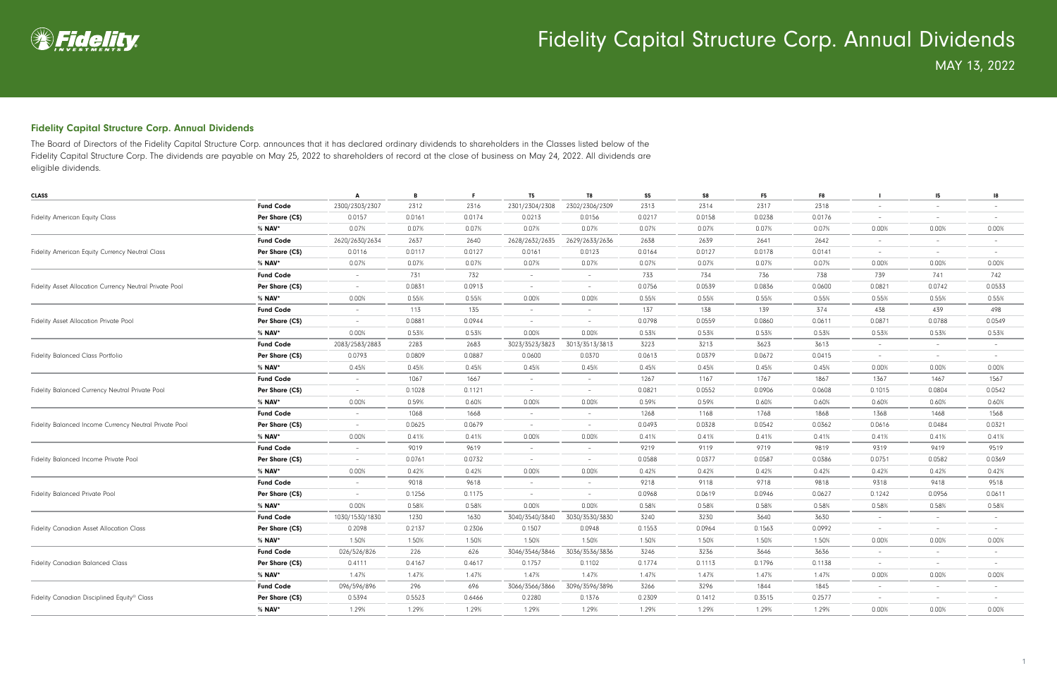

#### Fidelity Capital Structure Corp. Annual Dividends

The Board of Directors of the Fidelity Capital Structure Corp. announces that it has declared ordinary dividends to shareholders in the Classes listed below of the Fidelity Capital Structure Corp. The dividends are payable on May 25, 2022 to shareholders of record at the close of business on May 24, 2022. All dividends are eligible dividends.

|                  | A                                                                                                                                                                                                                                                                                                                                                                                                                                                                                                                                                                                                                                            | В      | F.     | T <sub>5</sub>           | T <sub>8</sub>           | S <sub>5</sub>                                                                                                                                                                                                                                                                                                                                                                                                                                                                                                                                                                                                                                                                          | S8     | F <sub>5</sub>                                                                                                          | F8     |                          | 15             | 18                       |
|------------------|----------------------------------------------------------------------------------------------------------------------------------------------------------------------------------------------------------------------------------------------------------------------------------------------------------------------------------------------------------------------------------------------------------------------------------------------------------------------------------------------------------------------------------------------------------------------------------------------------------------------------------------------|--------|--------|--------------------------|--------------------------|-----------------------------------------------------------------------------------------------------------------------------------------------------------------------------------------------------------------------------------------------------------------------------------------------------------------------------------------------------------------------------------------------------------------------------------------------------------------------------------------------------------------------------------------------------------------------------------------------------------------------------------------------------------------------------------------|--------|-------------------------------------------------------------------------------------------------------------------------|--------|--------------------------|----------------|--------------------------|
| <b>Fund Code</b> | 2300/2303/2307                                                                                                                                                                                                                                                                                                                                                                                                                                                                                                                                                                                                                               | 2312   | 2316   | 2301/2304/2308           | 2302/2306/2309           | 2313                                                                                                                                                                                                                                                                                                                                                                                                                                                                                                                                                                                                                                                                                    | 2314   | 2317                                                                                                                    | 2318   | $\overline{\phantom{a}}$ | $-$            | $\overline{\phantom{0}}$ |
| Per Share (C\$)  | 0.0157                                                                                                                                                                                                                                                                                                                                                                                                                                                                                                                                                                                                                                       | 0.0161 | 0.0174 | 0.0213                   | 0.0156                   | 0.0217                                                                                                                                                                                                                                                                                                                                                                                                                                                                                                                                                                                                                                                                                  | 0.0158 | 0.0238                                                                                                                  | 0.0176 | $\overline{\phantom{a}}$ | $\sim$         | $\overline{\phantom{a}}$ |
| % <b>NAV</b> *   | 0.07%                                                                                                                                                                                                                                                                                                                                                                                                                                                                                                                                                                                                                                        | 0.07%  | 0.07%  | 0.07%                    | 0.07%                    | 0.07%                                                                                                                                                                                                                                                                                                                                                                                                                                                                                                                                                                                                                                                                                   | 0.07%  | 0.07%                                                                                                                   | 0.07%  | 0.00%                    | 0.00%          | 0.00%                    |
| <b>Fund Code</b> | 2620/2630/2634                                                                                                                                                                                                                                                                                                                                                                                                                                                                                                                                                                                                                               | 2637   | 2640   | 2628/2632/2635           | 2629/2633/2636           | 2638                                                                                                                                                                                                                                                                                                                                                                                                                                                                                                                                                                                                                                                                                    | 2639   | 2641                                                                                                                    | 2642   | $\overline{\phantom{a}}$ | $-$            | $\overline{\phantom{a}}$ |
| Per Share (C\$)  | 0.0116                                                                                                                                                                                                                                                                                                                                                                                                                                                                                                                                                                                                                                       | 0.0117 | 0.0127 | 0.0161                   | 0.0123                   | 0.0164                                                                                                                                                                                                                                                                                                                                                                                                                                                                                                                                                                                                                                                                                  | 0.0127 | 0.0178                                                                                                                  | 0.0141 | $\sim$                   | $\overline{a}$ | $\sim$                   |
| % NAV*           | 0.07%                                                                                                                                                                                                                                                                                                                                                                                                                                                                                                                                                                                                                                        | 0.07%  | 0.07%  | 0.07%                    | 0.07%                    | 0.07%                                                                                                                                                                                                                                                                                                                                                                                                                                                                                                                                                                                                                                                                                   | 0.07%  | 0.07%                                                                                                                   | 0.07%  | 0.00%                    | 0.00%          | 0.00%                    |
| <b>Fund Code</b> | $\hspace{0.1mm}-\hspace{0.1mm}$                                                                                                                                                                                                                                                                                                                                                                                                                                                                                                                                                                                                              | 731    | 732    | $\overline{\phantom{a}}$ | $\overline{\phantom{0}}$ | 733                                                                                                                                                                                                                                                                                                                                                                                                                                                                                                                                                                                                                                                                                     | 734    | 736                                                                                                                     | 738    | 739                      | 741            | 742                      |
| Per Share (C\$)  | $\hspace{0.1mm}-\hspace{0.1mm}$                                                                                                                                                                                                                                                                                                                                                                                                                                                                                                                                                                                                              | 0.0831 | 0.0913 | $\sim$                   | $-$                      | 0.0756                                                                                                                                                                                                                                                                                                                                                                                                                                                                                                                                                                                                                                                                                  | 0.0539 | 0.0836                                                                                                                  | 0.0600 | 0.0821                   | 0.0742         | 0.0533                   |
| % <b>NAV</b> *   | 0.00%                                                                                                                                                                                                                                                                                                                                                                                                                                                                                                                                                                                                                                        | 0.55%  | 0.55%  | 0.00%                    | 0.00%                    | 0.55%                                                                                                                                                                                                                                                                                                                                                                                                                                                                                                                                                                                                                                                                                   | 0.55%  | 0.55%                                                                                                                   | 0.55%  | 0.55%                    | 0.55%          | 0.55%                    |
| <b>Fund Code</b> | $\sim$                                                                                                                                                                                                                                                                                                                                                                                                                                                                                                                                                                                                                                       | 113    | 135    | $\overline{\phantom{a}}$ | $\overline{a}$           | 137                                                                                                                                                                                                                                                                                                                                                                                                                                                                                                                                                                                                                                                                                     | 138    | 139                                                                                                                     | 374    | 438                      | 439            | 498                      |
| Per Share (C\$)  | $\sim$                                                                                                                                                                                                                                                                                                                                                                                                                                                                                                                                                                                                                                       | 0.0881 | 0.0944 | $\overline{\phantom{a}}$ | $\sim$                   | 0.0798                                                                                                                                                                                                                                                                                                                                                                                                                                                                                                                                                                                                                                                                                  | 0.0559 | 0.0860                                                                                                                  | 0.0611 | 0.0871                   | 0.0788         | 0.0549                   |
| % NAV*           | 0.00%                                                                                                                                                                                                                                                                                                                                                                                                                                                                                                                                                                                                                                        | 0.53%  | 0.53%  | 0.00%                    | 0.00%                    | 0.53%                                                                                                                                                                                                                                                                                                                                                                                                                                                                                                                                                                                                                                                                                   | 0.53%  | 0.53%                                                                                                                   | 0.53%  | 0.53%                    | 0.53%          | 0.53%                    |
| <b>Fund Code</b> | 2083/2583/2883                                                                                                                                                                                                                                                                                                                                                                                                                                                                                                                                                                                                                               | 2283   | 2683   | 3023/3523/3823           | 3013/3513/3813           | 3223                                                                                                                                                                                                                                                                                                                                                                                                                                                                                                                                                                                                                                                                                    | 3213   | 3623                                                                                                                    | 3613   | $\overline{\phantom{a}}$ | $\sim$         | $\overline{\phantom{a}}$ |
| Per Share (C\$)  | 0.0793                                                                                                                                                                                                                                                                                                                                                                                                                                                                                                                                                                                                                                       | 0.0809 | 0.0887 | 0.0600                   | 0.0370                   | 0.0613                                                                                                                                                                                                                                                                                                                                                                                                                                                                                                                                                                                                                                                                                  | 0.0379 | 0.0672                                                                                                                  | 0.0415 | $\overline{\phantom{a}}$ | $\sim$         |                          |
| % <b>NAV</b> *   | 0.45%                                                                                                                                                                                                                                                                                                                                                                                                                                                                                                                                                                                                                                        | 0.45%  | 0.45%  | 0.45%                    | 0.45%                    | 0.45%                                                                                                                                                                                                                                                                                                                                                                                                                                                                                                                                                                                                                                                                                   | 0.45%  | 0.45%                                                                                                                   | 0.45%  | 0.00%                    | 0.00%          | 0.00%                    |
| <b>Fund Code</b> | $\overline{\phantom{a}}$                                                                                                                                                                                                                                                                                                                                                                                                                                                                                                                                                                                                                     | 1067   | 1667   |                          |                          | 1267                                                                                                                                                                                                                                                                                                                                                                                                                                                                                                                                                                                                                                                                                    | 1167   | 1767                                                                                                                    | 1867   | 1367                     | 1467           | 1567                     |
| Per Share (C\$)  | $\sim$                                                                                                                                                                                                                                                                                                                                                                                                                                                                                                                                                                                                                                       | 0.1028 | 0.1121 | $\overline{\phantom{a}}$ | $-$                      | 0.0821                                                                                                                                                                                                                                                                                                                                                                                                                                                                                                                                                                                                                                                                                  | 0.0552 | 0.0906                                                                                                                  | 0.0608 | 0.1015                   | 0.0804         | 0.0542                   |
| % NAV*           | 0.00%                                                                                                                                                                                                                                                                                                                                                                                                                                                                                                                                                                                                                                        | 0.59%  | 0.60%  | 0.00%                    | 0.00%                    | 0.59%                                                                                                                                                                                                                                                                                                                                                                                                                                                                                                                                                                                                                                                                                   | 0.59%  | 0.60%                                                                                                                   | 0.60%  | 0.60%                    | 0.60%          | 0.60%                    |
| <b>Fund Code</b> | $\sim$                                                                                                                                                                                                                                                                                                                                                                                                                                                                                                                                                                                                                                       | 1068   | 1668   | $\overline{\phantom{a}}$ | $\sim$                   | 1268                                                                                                                                                                                                                                                                                                                                                                                                                                                                                                                                                                                                                                                                                    | 1168   | 1768                                                                                                                    | 1868   | 1368                     | 1468           | 1568                     |
| Per Share (C\$)  | $\sim$                                                                                                                                                                                                                                                                                                                                                                                                                                                                                                                                                                                                                                       | 0.0625 | 0.0679 | $\overline{\phantom{a}}$ | $\sim$                   | 0.0493                                                                                                                                                                                                                                                                                                                                                                                                                                                                                                                                                                                                                                                                                  | 0.0328 | 0.0542                                                                                                                  | 0.0362 | 0.0616                   | 0.0484         | 0.0321                   |
| $%$ NAV*         | 0.00%                                                                                                                                                                                                                                                                                                                                                                                                                                                                                                                                                                                                                                        | 0.41%  | 0.41%  | 0.00%                    | 0.00%                    | 0.41%                                                                                                                                                                                                                                                                                                                                                                                                                                                                                                                                                                                                                                                                                   | 0.41%  | 0.41%                                                                                                                   | 0.41%  | 0.41%                    | 0.41%          | 0.41%                    |
| <b>Fund Code</b> | $\sim$                                                                                                                                                                                                                                                                                                                                                                                                                                                                                                                                                                                                                                       | 9019   | 9619   | $\overline{\phantom{a}}$ | $\sim$                   | 9219                                                                                                                                                                                                                                                                                                                                                                                                                                                                                                                                                                                                                                                                                    | 9119   | 9719                                                                                                                    | 9819   | 9319                     | 9419           | 9519                     |
| Per Share (C\$)  | $\sim$                                                                                                                                                                                                                                                                                                                                                                                                                                                                                                                                                                                                                                       | 0.0761 | 0.0732 | $\overline{\phantom{a}}$ | $\sim$                   | 0.0588<br>0.0377<br>0.0386<br>0.0751<br>0.0587<br>0.42%<br>0.42%<br>0.42%<br>0.42%<br>0.42%<br>9218<br>9118<br>9718<br>9818<br>9318<br>0.0627<br>0.0968<br>0.0619<br>0.0946<br>0.1242<br>0.58%<br>0.58%<br>0.58%<br>0.58%<br>0.58%<br>3630<br>3240<br>3230<br>3640<br>$\sim$<br>0.1553<br>0.0992<br>0.0964<br>0.1563<br>$\sim$<br>1.50%<br>1.50%<br>1.50%<br>1.50%<br>0.00%<br>3636<br>3246<br>3236<br>3646<br>$\sim$<br>0.1774<br>0.1113<br>0.1796<br>0.1138<br>$\overline{\phantom{a}}$<br>1.47%<br>1.47%<br>1.47%<br>1.47%<br>0.00%<br>1845<br>3266<br>3296<br>1844<br>$\overline{\phantom{a}}$<br>0.2309<br>0.3515<br>0.2577<br>0.1412<br>1.29%<br>1.29%<br>1.29%<br>1.29%<br>0.00% | 0.0582 | 0.0369                                                                                                                  |        |                          |                |                          |
| % NAV*           | 0.00%                                                                                                                                                                                                                                                                                                                                                                                                                                                                                                                                                                                                                                        | 0.42%  | 0.42%  | 0.00%                    | 0.00%                    |                                                                                                                                                                                                                                                                                                                                                                                                                                                                                                                                                                                                                                                                                         |        | 0.42%<br>9418<br>0.0956<br>0.58%<br>$\sim$<br>$\sim$<br>0.00%<br>$\sim$<br>$\sim$<br>0.00%<br>$\sim$<br>$\sim$<br>0.00% | 0.42%  |                          |                |                          |
| <b>Fund Code</b> | $\sim$                                                                                                                                                                                                                                                                                                                                                                                                                                                                                                                                                                                                                                       | 9018   | 9618   | $\overline{\phantom{a}}$ | $\sim$                   |                                                                                                                                                                                                                                                                                                                                                                                                                                                                                                                                                                                                                                                                                         |        |                                                                                                                         |        |                          |                | 9518                     |
| Per Share (C\$)  | 0.1256<br>0.1175<br>$\overline{\phantom{0}}$<br>$\overline{\phantom{a}}$<br>$\overline{a}$<br>0.00%<br>0.58%<br>0.58%<br>0.00%<br>0.00%<br>1030/1530/1830<br>3040/3540/3840<br>3030/3530/3830<br>1230<br>1630<br>0.2306<br>0.1507<br>0.2098<br>0.2137<br>0.0948<br>1.50%<br>1.50%<br>1.50%<br>1.50%<br>1.50%<br>3046/3546/3846<br>3036/3536/3836<br>026/526/826<br>226<br>626<br>0.4111<br>0.4167<br>0.4617<br>0.1757<br>0.1102<br>1.47%<br>1.47%<br>1.47%<br>1.47%<br>1.47%<br>3066/3566/3866<br>3096/3596/3896<br>096/596/896<br>296<br>696<br>0.5394<br>0.5523<br>0.6466<br>0.2280<br>0.1376<br>1.29%<br>1.29%<br>1.29%<br>1.29%<br>1.29% |        |        |                          |                          | 0.0611                                                                                                                                                                                                                                                                                                                                                                                                                                                                                                                                                                                                                                                                                  |        |                                                                                                                         |        |                          |                |                          |
| % NAV*           |                                                                                                                                                                                                                                                                                                                                                                                                                                                                                                                                                                                                                                              |        |        |                          |                          |                                                                                                                                                                                                                                                                                                                                                                                                                                                                                                                                                                                                                                                                                         |        |                                                                                                                         |        |                          |                | 0.58%                    |
| <b>Fund Code</b> |                                                                                                                                                                                                                                                                                                                                                                                                                                                                                                                                                                                                                                              |        |        |                          |                          |                                                                                                                                                                                                                                                                                                                                                                                                                                                                                                                                                                                                                                                                                         |        |                                                                                                                         |        |                          |                | $\overline{\phantom{a}}$ |
| Per Share (C\$)  |                                                                                                                                                                                                                                                                                                                                                                                                                                                                                                                                                                                                                                              |        |        |                          |                          |                                                                                                                                                                                                                                                                                                                                                                                                                                                                                                                                                                                                                                                                                         |        |                                                                                                                         |        |                          |                | $\overline{\phantom{a}}$ |
| % <b>NAV</b> *   |                                                                                                                                                                                                                                                                                                                                                                                                                                                                                                                                                                                                                                              |        |        |                          |                          |                                                                                                                                                                                                                                                                                                                                                                                                                                                                                                                                                                                                                                                                                         |        |                                                                                                                         |        |                          |                | 0.00%                    |
| <b>Fund Code</b> |                                                                                                                                                                                                                                                                                                                                                                                                                                                                                                                                                                                                                                              |        |        |                          |                          |                                                                                                                                                                                                                                                                                                                                                                                                                                                                                                                                                                                                                                                                                         |        |                                                                                                                         |        |                          |                | $\overline{\phantom{a}}$ |
| Per Share (C\$)  |                                                                                                                                                                                                                                                                                                                                                                                                                                                                                                                                                                                                                                              |        |        |                          |                          |                                                                                                                                                                                                                                                                                                                                                                                                                                                                                                                                                                                                                                                                                         |        |                                                                                                                         |        |                          |                | $\overline{\phantom{a}}$ |
| % <b>NAV</b> *   |                                                                                                                                                                                                                                                                                                                                                                                                                                                                                                                                                                                                                                              |        |        |                          |                          |                                                                                                                                                                                                                                                                                                                                                                                                                                                                                                                                                                                                                                                                                         |        |                                                                                                                         |        |                          |                | 0.00%                    |
| <b>Fund Code</b> |                                                                                                                                                                                                                                                                                                                                                                                                                                                                                                                                                                                                                                              |        |        |                          |                          |                                                                                                                                                                                                                                                                                                                                                                                                                                                                                                                                                                                                                                                                                         |        |                                                                                                                         |        |                          |                | $\overline{\phantom{a}}$ |
| Per Share (C\$)  |                                                                                                                                                                                                                                                                                                                                                                                                                                                                                                                                                                                                                                              |        |        |                          |                          |                                                                                                                                                                                                                                                                                                                                                                                                                                                                                                                                                                                                                                                                                         |        |                                                                                                                         |        |                          |                |                          |
| $%$ NAV*         |                                                                                                                                                                                                                                                                                                                                                                                                                                                                                                                                                                                                                                              |        |        |                          |                          |                                                                                                                                                                                                                                                                                                                                                                                                                                                                                                                                                                                                                                                                                         |        |                                                                                                                         |        |                          |                | 0.00%                    |
|                  |                                                                                                                                                                                                                                                                                                                                                                                                                                                                                                                                                                                                                                              |        |        |                          |                          |                                                                                                                                                                                                                                                                                                                                                                                                                                                                                                                                                                                                                                                                                         |        |                                                                                                                         |        |                          |                |                          |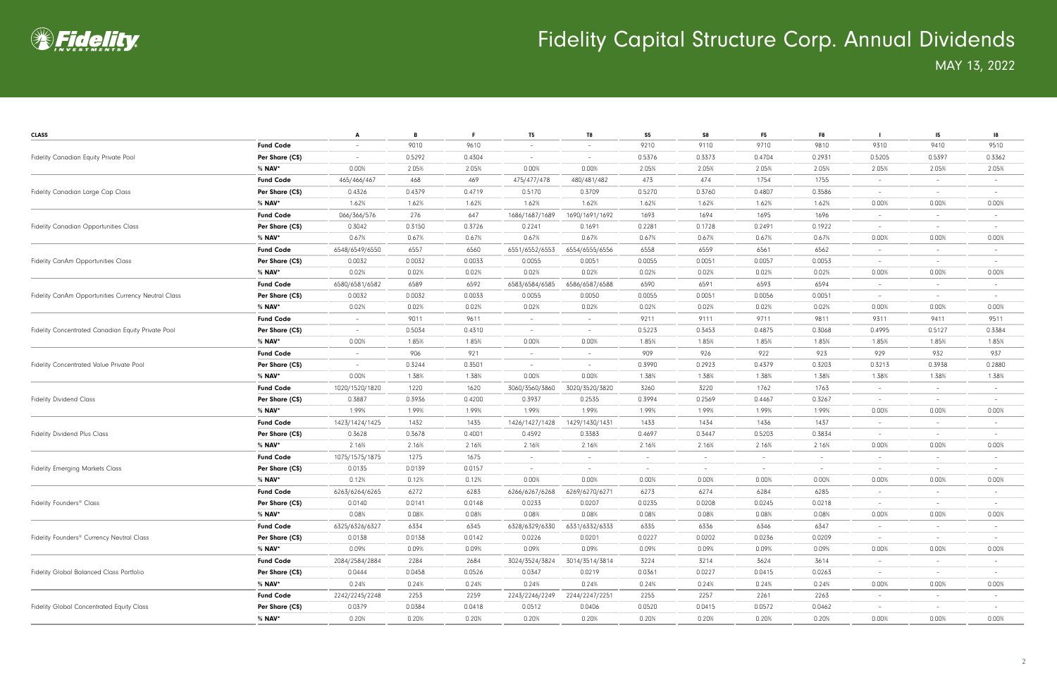

| <b>CLASS</b>                                                                                                                                                                                                                     |                  | A                        | B      | F.     | T5                       | T8                       | S <sub>5</sub>           | S8     | F <sub>5</sub>           | F8                       |                          | 15 <sub>15</sub>         | 18                       |
|----------------------------------------------------------------------------------------------------------------------------------------------------------------------------------------------------------------------------------|------------------|--------------------------|--------|--------|--------------------------|--------------------------|--------------------------|--------|--------------------------|--------------------------|--------------------------|--------------------------|--------------------------|
|                                                                                                                                                                                                                                  | <b>Fund Code</b> | $\overline{\phantom{0}}$ | 9010   | 9610   |                          |                          | 9210                     | 9110   | 9710                     | 9810                     | 9310                     | 9410                     | 9510                     |
| Fidelity Canadian Equity Private Pool                                                                                                                                                                                            | Per Share (C\$)  | $\overline{\phantom{a}}$ | 0.5292 | 0.4304 | $\overline{\phantom{a}}$ | $-$                      | 0.5376                   | 0.3373 | 0.4704                   | 0.2931                   | 0.5205                   | 0.5397                   | 0.3362                   |
|                                                                                                                                                                                                                                  | % <b>NAV</b> *   | 0.00%                    | 2.05%  | 2.05%  | 0.00%                    | 0.00%                    | 2.05%                    | 2.05%  | 2.05%                    | 2.05%                    | 2.05%                    | 2.05%                    | 2.05%                    |
|                                                                                                                                                                                                                                  | <b>Fund Code</b> | 465/466/467              | 468    | 469    | 475/477/478              | 480/481/482              | 473                      | 474    | 1754                     | 1755                     | -                        | $\sim$                   | $\overline{\phantom{a}}$ |
| Fidelity Canadian Large Cap Class                                                                                                                                                                                                | Per Share (C\$)  | 0.4326                   | 0.4379 | 0.4719 | 0.5170                   | 0.3709                   | 0.5270                   | 0.3760 | 0.4807                   | 0.3586                   |                          | $\overline{\phantom{a}}$ |                          |
|                                                                                                                                                                                                                                  | % <b>NAV</b> *   | 1.62%                    | 1.62%  | 1.62%  | 1.62%                    | 1.62%                    | 1.62%                    | 1.62%  | 1.62%                    | 1.62%                    | 0.00%                    | 0.00%                    | 0.00%                    |
|                                                                                                                                                                                                                                  | <b>Fund Code</b> | 066/366/576              | 276    | 647    | 1686/1687/1689           | 1690/1691/1692           | 1693                     | 1694   | 1695                     | 1696                     | $\overline{\phantom{0}}$ | $\sim$                   |                          |
| <b>Fidelity Canadian Opportunities Class</b>                                                                                                                                                                                     | Per Share (C\$)  | 0.3042                   | 0.3150 | 0.3726 | 0.2241                   | 0.1691                   | 0.2281                   | 0.1728 | 0.2491                   | 0.1922                   | -                        | $\overline{\phantom{a}}$ |                          |
|                                                                                                                                                                                                                                  | % NAV*           | 0.67%                    | 0.67%  | 0.67%  | 0.67%                    | 0.67%                    | 0.67%                    | 0.67%  | 0.67%                    | 0.67%                    | 0.00%                    | 0.00%                    | 0.00%                    |
|                                                                                                                                                                                                                                  | <b>Fund Code</b> | 6548/6549/6550           | 6557   | 6560   | 6551/6552/6553           | 6554/6555/6556           | 6558                     | 6559   | 6561                     | 6562                     | $\overline{\phantom{a}}$ | $-$                      | $\overline{\phantom{a}}$ |
| Fidelity CanAm Opportunities Class                                                                                                                                                                                               | Per Share (C\$)  | 0.0032                   | 0.0032 | 0.0033 | 0.0055                   | 0.0051                   | 0.0055                   | 0.0051 | 0.0057                   | 0.0053                   | $\overline{\phantom{a}}$ | $\sim$                   | $\overline{\phantom{a}}$ |
|                                                                                                                                                                                                                                  | % <b>NAV</b> *   | 0.02%                    | 0.02%  | 0.02%  | 0.02%                    | 0.02%                    | 0.02%                    | 0.02%  | 0.02%                    | 0.02%                    | 0.00%                    | 0.00%                    | 0.00%                    |
|                                                                                                                                                                                                                                  | <b>Fund Code</b> | 6580/6581/6582           | 6589   | 6592   | 6583/6584/6585           | 6586/6587/6588           | 6590                     | 6591   | 6593                     | 6594                     | $\overline{\phantom{m}}$ | $-$                      | $\overline{\phantom{a}}$ |
| Fidelity CanAm Opportunities Currency Neutral Class                                                                                                                                                                              | Per Share (C\$)  | 0.0032                   | 0.0032 | 0.0033 | 0.0055                   | 0.0050                   | 0.0055                   | 0.0051 | 0.0056                   | 0.0051                   |                          | $\overline{\phantom{a}}$ |                          |
|                                                                                                                                                                                                                                  | % <b>NAV</b> *   | 0.02%                    | 0.02%  | 0.02%  | 0.02%                    | 0.02%                    | 0.02%                    | 0.02%  | 0.02%                    | 0.02%                    | 0.00%                    | 0.00%                    | 0.00%                    |
|                                                                                                                                                                                                                                  | <b>Fund Code</b> | $\overline{\phantom{a}}$ | 9011   | 9611   | $\overline{\phantom{a}}$ | $-$                      | 9211                     | 9111   | 9711                     | 9811                     | 9311                     | 9411                     | 9511                     |
| Fidelity Concentrated Canadian Equity Private Pool                                                                                                                                                                               | Per Share (C\$)  | $\overline{\phantom{a}}$ | 0.5034 | 0.4310 | $\overline{\phantom{a}}$ | $\overline{\phantom{a}}$ | 0.5223                   | 0.3453 | 0.4875                   | 0.3068                   | 0.4995                   | 0.5127                   | 0.3384                   |
|                                                                                                                                                                                                                                  | % <b>NAV</b> *   | $0.00\%$                 | 1.85%  | 1.85%  | 0.00%                    | 0.00%                    | 1.85%                    | 1.85%  | 1.85%                    | 1.85%                    | 1.85%                    | 1.85%                    | 1.85%                    |
|                                                                                                                                                                                                                                  | <b>Fund Code</b> | $\overline{\phantom{a}}$ | 906    | 921    | $\overline{\phantom{a}}$ | $-$                      | 909                      | 926    | 922                      | 923                      | 929                      | 932                      | 937                      |
| Fidelity Concentrated Value Private Pool                                                                                                                                                                                         | Per Share (C\$)  | $\overline{\phantom{a}}$ | 0.3244 | 0.3501 | $\overline{\phantom{a}}$ | $\overline{\phantom{a}}$ | 0.3990                   | 0.2923 | 0.4379                   | 0.3203                   | 0.3213                   | 0.3938                   | 0.2880                   |
|                                                                                                                                                                                                                                  | % <b>NAV</b> *   | 0.00%                    | 1.38%  | 1.38%  | 0.00%                    | 0.00%                    | 1.38%                    | 1.38%  | 1.38%                    | 1.38%                    | 1.38%                    | 1.38%                    | 1.38%                    |
|                                                                                                                                                                                                                                  | <b>Fund Code</b> | 1020/1520/1820           | 1220   | 1620   | 3060/3560/3860           | 3020/3520/3820           | 3260                     | 3220   | 1762                     | 1763                     | $\overline{\phantom{m}}$ | $\overline{\phantom{a}}$ | $\overline{\phantom{m}}$ |
| <b>Fidelity Dividend Class</b>                                                                                                                                                                                                   | Per Share (C\$)  | 0.3887                   | 0.3936 | 0.4200 | 0.3937                   | 0.2535                   | 0.3994                   | 0.2569 | 0.4467                   | 0.3267                   |                          | $\overline{\phantom{a}}$ |                          |
|                                                                                                                                                                                                                                  | % <b>NAV</b> *   | 1.99%                    | 1.99%  | 1.99%  | 1.99%                    | 1.99%                    | 1.99%                    | 1.99%  | 1.99%                    | 1.99%                    | 0.00%                    | 0.00%                    | 0.00%                    |
|                                                                                                                                                                                                                                  | <b>Fund Code</b> | 1423/1424/1425           | 1432   | 1435   | 1426/1427/1428           | 1429/1430/1431           | 1433                     | 1434   | 1436                     | 1437                     | $\overline{\phantom{0}}$ | $-$                      |                          |
| <b>Fidelity Dividend Plus Class</b>                                                                                                                                                                                              | Per Share (C\$)  | 0.3628                   | 0.3678 | 0.4001 | 0.4592                   | 0.3383                   | 0.4697                   | 0.3447 | 0.5203                   | 0.3834                   | -                        | $-$                      |                          |
|                                                                                                                                                                                                                                  | % <b>NAV</b> *   | 2.16%                    | 2.16%  | 2.16%  | 2.16%                    | 2.16%                    | 2.16%                    | 2.16%  | 2.16%                    | 2.16%                    | 0.00%                    | 0.00%                    | 0.00%                    |
|                                                                                                                                                                                                                                  | <b>Fund Code</b> | 1075/1575/1875           | 1275   | 1675   | $\overline{\phantom{a}}$ | $-$                      | $\overline{\phantom{a}}$ |        | $\overline{\phantom{a}}$ | $\overline{\phantom{a}}$ | -                        | $-$                      | $\overline{\phantom{a}}$ |
| <b>Fidelity Emerging Markets Class</b><br>Fidelity Founders <sup>®</sup> Class<br>Fidelity Founders <sup>®</sup> Currency Neutral Class<br>Fidelity Global Balanced Class Portfolio<br>Fidelity Global Concentrated Equity Class | Per Share (C\$)  | 0.0135                   | 0.0139 | 0.0157 | $\overline{\phantom{a}}$ | $-$                      | $\sim$                   | $-$    | $\sim$                   | $-$                      | $\overline{\phantom{a}}$ | $\sim$                   | $\overline{\phantom{a}}$ |
|                                                                                                                                                                                                                                  | % <b>NAV</b> *   | 0.12%                    | 0.12%  | 0.12%  | 0.00%                    | 0.00%                    | 0.00%                    | 0.00%  | 0.00%                    | 0.00%                    | 0.00%                    | 0.00%                    | 0.00%                    |
|                                                                                                                                                                                                                                  | <b>Fund Code</b> | 6263/6264/6265           | 6272   | 6283   | 6266/6267/6268           | 6269/6270/6271           | 6273                     | 6274   | 6284                     | 6285                     | -                        | $-$                      | $\overline{\phantom{0}}$ |
|                                                                                                                                                                                                                                  | Per Share (C\$)  | 0.0140                   | 0.0141 | 0.0148 | 0.0233                   | 0.0207                   | 0.0235                   | 0.0208 | 0.0245                   | 0.0218                   |                          |                          |                          |
|                                                                                                                                                                                                                                  | $%$ NAV*         | 0.08%                    | 0.08%  | 0.08%  | 0.08%                    | 0.08%                    | 0.08%                    | 0.08%  | 0.08%                    | 0.08%                    | 0.00%                    | 0.00%                    | 0.00%                    |
|                                                                                                                                                                                                                                  | <b>Fund Code</b> | 6325/6326/6327           | 6334   | 6345   | 6328/6329/6330           | 6331/6332/6333           | 6335                     | 6336   | 6346                     | 6347                     | $\sim$                   | $\sim$                   |                          |
|                                                                                                                                                                                                                                  | Per Share (C\$)  | 0.0138                   | 0.0138 | 0.0142 | 0.0226                   | 0.0201                   | 0.0227                   | 0.0202 | 0.0236                   | 0.0209                   | $\overline{\phantom{a}}$ | $\sim$                   | $\qquad \qquad -$        |
|                                                                                                                                                                                                                                  | % NAV*           | 0.09%                    | 0.09%  | 0.09%  | 0.09%                    | 0.09%                    | 0.09%                    | 0.09%  | 0.09%                    | 0.09%                    | 0.00%                    | 0.00%                    | 0.00%                    |
|                                                                                                                                                                                                                                  | <b>Fund Code</b> | 2084/2584/2884           | 2284   | 2684   | 3024/3524/3824           | 3014/3514/3814           | 3224                     | 3214   | 3624                     | 3614                     | $\overline{\phantom{a}}$ | $\sim$                   |                          |
|                                                                                                                                                                                                                                  | Per Share (C\$)  | 0.0444                   | 0.0458 | 0.0526 | 0.0347                   | 0.0219                   | 0.0361                   | 0.0227 | 0.0415                   | 0.0263                   | $\overline{\phantom{a}}$ | $\sim$                   |                          |
|                                                                                                                                                                                                                                  | % <b>NAV</b> *   | 0.24%                    | 0.24%  | 0.24%  | 0.24%                    | 0.24%                    | 0.24%                    | 0.24%  | 0.24%                    | 0.24%                    | 0.00%                    | 0.00%                    | 0.00%                    |
|                                                                                                                                                                                                                                  | <b>Fund Code</b> | 2242/2245/2248           | 2253   | 2259   | 2243/2246/2249           | 2244/2247/2251           | 2255                     | 2257   | 2261                     | 2263                     | $\sim$                   | $\sim$                   |                          |
|                                                                                                                                                                                                                                  | Per Share (C\$)  | 0.0379                   | 0.0384 | 0.0418 | 0.0512                   | 0.0406                   | 0.0520                   | 0.0415 | 0.0572                   | 0.0462                   | $\overline{\phantom{a}}$ | $\sim$                   |                          |
|                                                                                                                                                                                                                                  | % <b>NAV</b> *   | 0.20%                    | 0.20%  | 0.20%  | 0.20%                    | 0.20%                    | 0.20%                    | 0.20%  | 0.20%                    | 0.20%                    | 0.00%                    | 0.00%                    | 0.00%                    |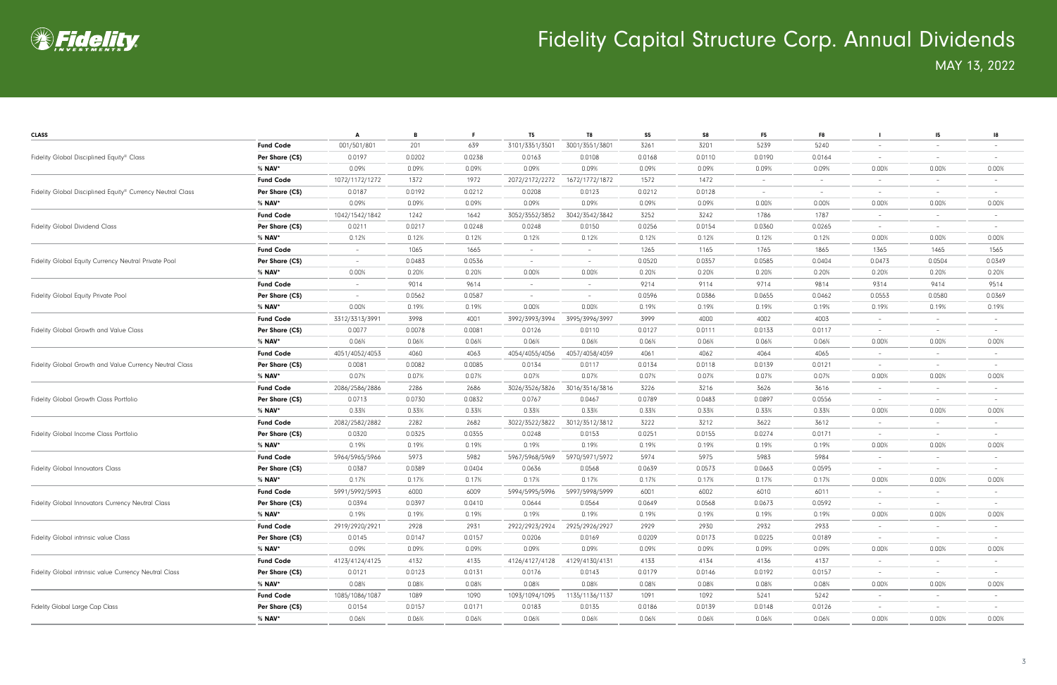

| <b>CLASS</b>                                               |                  | A                        | в      | - F    | T <sub>5</sub>           | T <sub>8</sub>                  | S <sub>5</sub> | S8     | F <sub>5</sub> | F8                                                                                                                                                                                                                                                                                                                                                                                                                                                                                                                                                                 |                          | 15                       | -18                             |
|------------------------------------------------------------|------------------|--------------------------|--------|--------|--------------------------|---------------------------------|----------------|--------|----------------|--------------------------------------------------------------------------------------------------------------------------------------------------------------------------------------------------------------------------------------------------------------------------------------------------------------------------------------------------------------------------------------------------------------------------------------------------------------------------------------------------------------------------------------------------------------------|--------------------------|--------------------------|---------------------------------|
|                                                            | <b>Fund Code</b> | 001/501/801              | 201    | 639    | 3101/3351/3501           | 3001/3551/3801                  | 3261           | 3201   | 5239           | 5240                                                                                                                                                                                                                                                                                                                                                                                                                                                                                                                                                               |                          |                          |                                 |
| Fidelity Global Disciplined Equity® Class                  | Per Share (C\$)  | 0.0197                   | 0.0202 | 0.0238 | 0.0163                   | 0.0108                          | 0.0168         | 0.0110 | 0.0190         | 0.0164                                                                                                                                                                                                                                                                                                                                                                                                                                                                                                                                                             | $\overline{\phantom{a}}$ | $-$                      |                                 |
|                                                            | % <b>NAV</b> *   | 0.09%                    | 0.09%  | 0.09%  | 0.09%                    | 0.09%                           | 0.09%          | 0.09%  | 0.09%          | 0.09%                                                                                                                                                                                                                                                                                                                                                                                                                                                                                                                                                              | 0.00%                    | 0.00%                    | 0.00%                           |
|                                                            | <b>Fund Code</b> | 1072/1172/1272           | 1372   | 1972   | 2072/2172/2272           | 1672/1772/1872                  | 1572           | 1472   | $\sim$         | $-$                                                                                                                                                                                                                                                                                                                                                                                                                                                                                                                                                                |                          | $-$                      | $\overline{\phantom{a}}$        |
| Fidelity Global Disciplined Equity® Currency Neutral Class | Per Share (C\$)  | 0.0187                   | 0.0192 | 0.0212 | 0.0208                   | 0.0123                          | 0.0212         | 0.0128 | $\sim$         | $\overline{\phantom{a}}$                                                                                                                                                                                                                                                                                                                                                                                                                                                                                                                                           | $\overline{\phantom{m}}$ | $\sim$                   | $\overline{\phantom{a}}$        |
|                                                            | % NAV*           | 0.09%                    | 0.09%  | 0.09%  | 0.09%                    | 0.09%                           | 0.09%          | 0.09%  | 0.00%          | 0.00%                                                                                                                                                                                                                                                                                                                                                                                                                                                                                                                                                              | 0.00%                    | 0.00%                    | 0.00%                           |
|                                                            | <b>Fund Code</b> | 1042/1542/1842           | 1242   | 1642   | 3052/3552/3852           | 3042/3542/3842                  | 3252           | 3242   | 1786           | 1787                                                                                                                                                                                                                                                                                                                                                                                                                                                                                                                                                               | $\overline{\phantom{a}}$ | $\sim$                   | $\overline{\phantom{a}}$        |
| <b>Fidelity Global Dividend Class</b>                      | Per Share (C\$)  | 0.0211                   | 0.0217 | 0.0248 | 0.0248                   | 0.0150                          | 0.0256         | 0.0154 | 0.0360         | 0.0265                                                                                                                                                                                                                                                                                                                                                                                                                                                                                                                                                             | $\overline{\phantom{a}}$ | $\sim$                   |                                 |
|                                                            | % <b>NAV</b> *   | 0.12%                    | 0.12%  | 0.12%  | 0.12%                    | 0.12%                           | 0.12%          | 0.12%  | 0.12%          | 0.12%                                                                                                                                                                                                                                                                                                                                                                                                                                                                                                                                                              | 0.00%                    | 0.00%                    | 0.00%                           |
|                                                            | <b>Fund Code</b> | $\overline{\phantom{a}}$ | 1065   | 1665   |                          | $\overline{\phantom{a}}$        | 1265           | 1165   | 1765           | 1865                                                                                                                                                                                                                                                                                                                                                                                                                                                                                                                                                               | 1365                     | 1465                     | 1565                            |
| Fidelity Global Equity Currency Neutral Private Pool       | Per Share (C\$)  | $\overline{\phantom{a}}$ | 0.0483 | 0.0536 | $\overline{\phantom{a}}$ | $\hspace{0.1mm}-\hspace{0.1mm}$ | 0.0520         | 0.0357 | 0.0585         | 0.0404                                                                                                                                                                                                                                                                                                                                                                                                                                                                                                                                                             | 0.0473                   | 0.0504                   | 0.0349                          |
|                                                            | % <b>NAV</b> *   | 0.00%                    | 0.20%  | 0.20%  | 0.00%                    | 0.00%                           | 0.20%          | 0.20%  | 0.20%          | 0.20%                                                                                                                                                                                                                                                                                                                                                                                                                                                                                                                                                              | 0.20%                    | 0.20%                    | 0.20%                           |
|                                                            | <b>Fund Code</b> | $\overline{\phantom{a}}$ | 9014   | 9614   | $\overline{\phantom{a}}$ | $\overline{\phantom{a}}$        | 9214           | 9114   | 9714           | 9814                                                                                                                                                                                                                                                                                                                                                                                                                                                                                                                                                               | 9314                     | 9414                     | 9514                            |
| Fidelity Global Equity Private Pool                        | Per Share (C\$)  | $\overline{\phantom{a}}$ | 0.0562 | 0.0587 | $\overline{\phantom{a}}$ | $\overline{\phantom{0}}$        | 0.0596         | 0.0386 | 0.0655         | 0.0462                                                                                                                                                                                                                                                                                                                                                                                                                                                                                                                                                             | 0.0553                   | 0.0580                   | 0.0369                          |
|                                                            | % <b>NAV</b> *   | 0.00%                    | 0.19%  | 0.19%  | 0.00%                    | 0.00%                           | 0.19%          | 0.19%  | 0.19%          | 0.19%                                                                                                                                                                                                                                                                                                                                                                                                                                                                                                                                                              | 0.19%                    | 0.19%                    | 0.19%                           |
|                                                            | <b>Fund Code</b> | 3312/3313/3991           | 3998   | 4001   | 3992/3993/3994           | 3995/3996/3997                  | 3999           | 4000   | 4002           | 4003                                                                                                                                                                                                                                                                                                                                                                                                                                                                                                                                                               | $\overline{\phantom{a}}$ | $\sim$                   | $\overline{\phantom{a}}$        |
| Fidelity Global Growth and Value Class                     | Per Share (C\$)  | 0.0077                   | 0.0078 | 0.0081 | 0.0126                   | 0.0110                          | 0.0127         | 0.0111 | 0.0133         | 0.0117                                                                                                                                                                                                                                                                                                                                                                                                                                                                                                                                                             | $\overline{\phantom{a}}$ | $\sim$                   |                                 |
|                                                            | % <b>NAV</b> *   | 0.06%                    | 0.06%  | 0.06%  | 0.06%                    | 0.06%                           | 0.06%          | 0.06%  | 0.06%          | 0.06%                                                                                                                                                                                                                                                                                                                                                                                                                                                                                                                                                              | 0.00%                    | 0.00%                    | 0.00%                           |
| Fidelity Global Growth and Value Currency Neutral Class    | <b>Fund Code</b> | 4051/4052/4053           | 4060   | 4063   | 4054/4055/4056           | 4057/4058/4059                  | 4061           | 4062   | 4064           | 4065                                                                                                                                                                                                                                                                                                                                                                                                                                                                                                                                                               |                          | $\overline{\phantom{a}}$ |                                 |
|                                                            | Per Share (C\$)  | 0.0081                   | 0.0082 | 0.0085 | 0.0134                   | 0.0117                          | 0.0134         | 0.0118 | 0.0139         | 0.0121                                                                                                                                                                                                                                                                                                                                                                                                                                                                                                                                                             | $\overline{\phantom{a}}$ | $-$                      | $\overline{\phantom{a}}$        |
|                                                            | % <b>NAV</b> *   | 0.07%                    | 0.07%  | 0.07%  | 0.07%                    | 0.07%                           | 0.07%          | 0.07%  | 0.07%          | 0.07%                                                                                                                                                                                                                                                                                                                                                                                                                                                                                                                                                              | 0.00%                    | 0.00%                    | 0.00%                           |
|                                                            | <b>Fund Code</b> | 2086/2586/2886           | 2286   | 2686   | 3026/3526/3826           | 3016/3516/3816                  | 3226           | 3216   | 3626           | 3616                                                                                                                                                                                                                                                                                                                                                                                                                                                                                                                                                               | $\overline{\phantom{m}}$ | $-$                      | $\overline{\phantom{a}}$        |
| Fidelity Global Growth Class Portfolio                     | Per Share (C\$)  | 0.0713                   | 0.0730 | 0.0832 | 0.0767                   | 0.0467                          | 0.0789         | 0.0483 | 0.0897         | 0.0556                                                                                                                                                                                                                                                                                                                                                                                                                                                                                                                                                             |                          | $\overline{\phantom{0}}$ |                                 |
|                                                            | % <b>NAV</b> *   | 0.33%                    | 0.33%  | 0.33%  | 0.33%                    | 0.33%                           | 0.33%          | 0.33%  | 0.33%          | 0.33%                                                                                                                                                                                                                                                                                                                                                                                                                                                                                                                                                              | 0.00%                    | 0.00%                    | 0.00%                           |
|                                                            | <b>Fund Code</b> | 2082/2582/2882           | 2282   | 2682   | 3022/3522/3822           | 3012/3512/3812                  | 3222           | 3212   | 3622           | 3612                                                                                                                                                                                                                                                                                                                                                                                                                                                                                                                                                               | $\overline{\phantom{m}}$ | $\sim$                   | $\overline{\phantom{a}}$        |
| Fidelity Global Income Class Portfolio                     | Per Share (C\$)  | 0.0320                   | 0.0325 | 0.0355 | 0.0248                   | 0.0153                          | 0.0251         | 0.0155 | 0.0274         | 0.0171                                                                                                                                                                                                                                                                                                                                                                                                                                                                                                                                                             |                          | $\overline{\phantom{a}}$ |                                 |
|                                                            | % <b>NAV</b> *   | 0.19%                    | 0.19%  | 0.19%  | 0.19%                    | 0.19%                           | 0.19%          | 0.19%  | 0.19%          | 0.19%                                                                                                                                                                                                                                                                                                                                                                                                                                                                                                                                                              | 0.00%                    | 0.00%                    | 0.00%                           |
|                                                            | <b>Fund Code</b> | 5964/5965/5966           | 5973   | 5982   | 5967/5968/5969           | 5970/5971/5972                  | 5974           | 5975   | 5983           | 5984<br>$-$<br>0.0595<br>$\overline{\phantom{a}}$<br>$-$<br>0.17%<br>0.00%<br>0.00%<br>6011<br>$\overline{\phantom{m}}$<br>$\overline{\phantom{0}}$<br>0.0592<br>$\qquad \qquad -$<br>0.19%<br>0.00%<br>0.00%<br>2933<br>$\overline{\phantom{a}}$<br>$\sim$<br>0.0189<br>$\overline{\phantom{a}}$<br>$\sim$<br>0.09%<br>0.00%<br>0.00%<br>4137<br>$\sim$<br>0.0157<br>$\sim$<br>$\sim$<br>0.08%<br>0.00%<br>0.00%<br>5242<br>$\sim$<br>$\overline{\phantom{a}}$<br>0.0126<br>$\overline{\phantom{a}}$<br>$\overline{\phantom{a}}$<br>0.06%<br>$0.00\%$<br>$0.00\%$ |                          |                          |                                 |
| <b>Fidelity Global Innovators Class</b>                    | Per Share (C\$)  | 0.0387                   | 0.0389 | 0.0404 | 0.0636                   | 0.0568                          | 0.0639         | 0.0573 | 0.0663         |                                                                                                                                                                                                                                                                                                                                                                                                                                                                                                                                                                    |                          |                          | $\hspace{0.1mm}-\hspace{0.1mm}$ |
|                                                            | % <b>NAV</b> *   | 0.17%                    | 0.17%  | 0.17%  | 0.17%                    | 0.17%                           | 0.17%          | 0.17%  | 0.17%          |                                                                                                                                                                                                                                                                                                                                                                                                                                                                                                                                                                    |                          |                          | 0.00%                           |
|                                                            | <b>Fund Code</b> | 5991/5992/5993           | 6000   | 6009   | 5994/5995/5996           | 5997/5998/5999                  | 6001           | 6002   | 6010           |                                                                                                                                                                                                                                                                                                                                                                                                                                                                                                                                                                    |                          |                          |                                 |
| Fidelity Global Innovators Currency Neutral Class          | Per Share (C\$)  | 0.0394                   | 0.0397 | 0.0410 | 0.0644                   | 0.0564                          | 0.0649         | 0.0568 | 0.0673         |                                                                                                                                                                                                                                                                                                                                                                                                                                                                                                                                                                    |                          |                          |                                 |
|                                                            | $%$ NAV*         | 0.19%                    | 0.19%  | 0.19%  | 0.19%                    | 0.19%                           | 0.19%          | 0.19%  | 0.19%          |                                                                                                                                                                                                                                                                                                                                                                                                                                                                                                                                                                    |                          |                          | 0.00%                           |
|                                                            | <b>Fund Code</b> | 2919/2920/2921           | 2928   | 2931   | 2922/2923/2924           | 2925/2926/2927                  | 2929           | 2930   | 2932           |                                                                                                                                                                                                                                                                                                                                                                                                                                                                                                                                                                    |                          |                          | $\overline{\phantom{a}}$        |
| Fidelity Global intrinsic value Class                      | Per Share (C\$)  | 0.0145                   | 0.0147 | 0.0157 | 0.0206                   | 0.0169                          | 0.0209         | 0.0173 | 0.0225         |                                                                                                                                                                                                                                                                                                                                                                                                                                                                                                                                                                    |                          |                          |                                 |
|                                                            | % <b>NAV</b> *   | 0.09%                    | 0.09%  | 0.09%  | 0.09%                    | 0.09%                           | 0.09%          | 0.09%  | 0.09%          |                                                                                                                                                                                                                                                                                                                                                                                                                                                                                                                                                                    |                          |                          | 0.00%                           |
|                                                            | <b>Fund Code</b> | 4123/4124/4125           | 4132   | 4135   | 4126/4127/4128           | 4129/4130/4131                  | 4133           | 4134   | 4136           |                                                                                                                                                                                                                                                                                                                                                                                                                                                                                                                                                                    |                          |                          |                                 |
| Fidelity Global intrinsic value Currency Neutral Class     | Per Share (C\$)  | 0.0121                   | 0.0123 | 0.0131 | 0.0176                   | 0.0143                          | 0.0179         | 0.0146 | 0.0192         |                                                                                                                                                                                                                                                                                                                                                                                                                                                                                                                                                                    |                          |                          |                                 |
|                                                            | % <b>NAV</b> *   | 0.08%                    | 0.08%  | 0.08%  | 0.08%                    | 0.08%                           | 0.08%          | 0.08%  | 0.08%          |                                                                                                                                                                                                                                                                                                                                                                                                                                                                                                                                                                    |                          |                          | 0.00%                           |
|                                                            | <b>Fund Code</b> | 1085/1086/1087           | 1089   | 1090   | 1093/1094/1095           | 1135/1136/1137                  | 1091           | 1092   | 5241           |                                                                                                                                                                                                                                                                                                                                                                                                                                                                                                                                                                    |                          |                          |                                 |
| Fidelity Global Large Cap Class                            | Per Share (C\$)  | 0.0154                   | 0.0157 | 0.0171 | 0.0183                   | 0.0135                          | 0.0186         | 0.0139 | 0.0148         |                                                                                                                                                                                                                                                                                                                                                                                                                                                                                                                                                                    |                          |                          |                                 |
|                                                            | $%$ NAV*         | 0.06%                    | 0.06%  | 0.06%  | 0.06%                    | 0.06%                           | 0.06%          | 0.06%  | 0.06%          |                                                                                                                                                                                                                                                                                                                                                                                                                                                                                                                                                                    |                          |                          | 0.00%                           |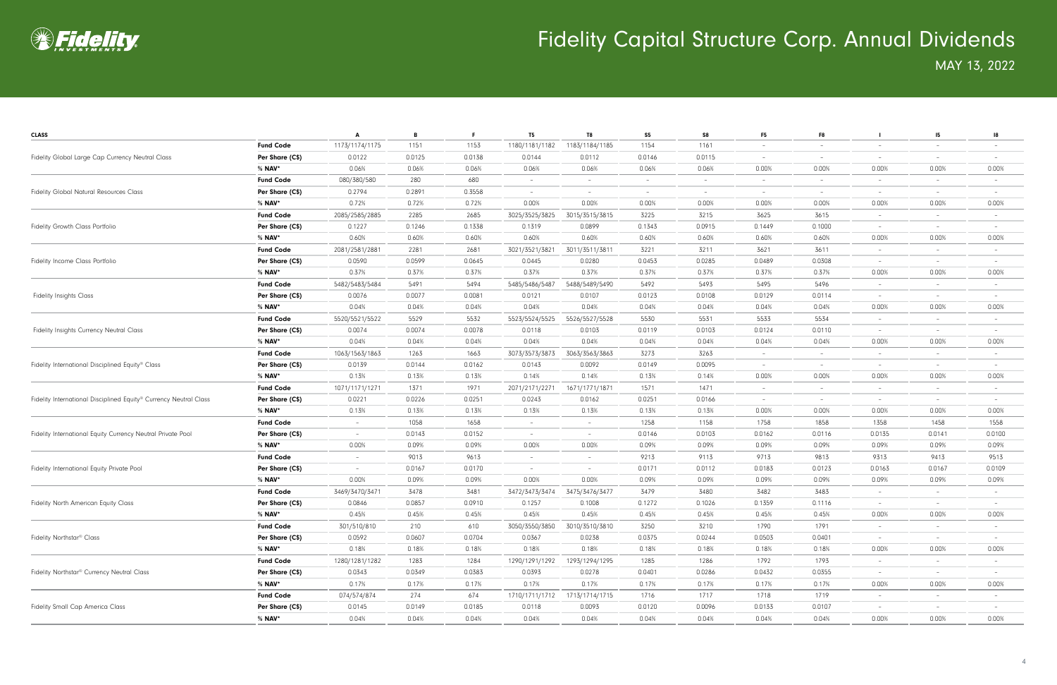

| <b>CLASS</b>                                                                                                                                                                                                                                                                               |                  | A                        | B      | F.     | T5                              | T8                       | S5                       | S8     | F <sub>5</sub>           | F8                              |                          | 15                                                                                                                                                                                                                                                                                               | 18                       |
|--------------------------------------------------------------------------------------------------------------------------------------------------------------------------------------------------------------------------------------------------------------------------------------------|------------------|--------------------------|--------|--------|---------------------------------|--------------------------|--------------------------|--------|--------------------------|---------------------------------|--------------------------|--------------------------------------------------------------------------------------------------------------------------------------------------------------------------------------------------------------------------------------------------------------------------------------------------|--------------------------|
|                                                                                                                                                                                                                                                                                            | <b>Fund Code</b> | 1173/1174/1175           | 1151   | 1153   | 1180/1181/1182                  | 1183/1184/1185           | 1154                     | 1161   | $\overline{\phantom{a}}$ | $\overline{\phantom{a}}$        |                          | $\overline{\phantom{a}}$                                                                                                                                                                                                                                                                         |                          |
| Fidelity Global Large Cap Currency Neutral Class<br><b>Fidelity Global Natural Resources Class</b><br><b>Fidelity Growth Class Portfolio</b><br>Fidelity Income Class Portfolio<br><b>Fidelity Insights Class</b><br>Fidelity Insights Currency Neutral Class                              | Per Share (C\$)  | 0.0122                   | 0.0125 | 0.0138 | 0.0144                          | 0.0112                   | 0.0146                   | 0.0115 | $\overline{\phantom{a}}$ | $\overline{\phantom{a}}$        |                          | $\overline{\phantom{a}}$                                                                                                                                                                                                                                                                         | $\overline{\phantom{m}}$ |
|                                                                                                                                                                                                                                                                                            | % <b>NAV</b> *   | 0.06%                    | 0.06%  | 0.06%  | 0.06%                           | 0.06%                    | 0.06%                    | 0.06%  | 0.00%                    | 0.00%                           | 0.00%                    | 0.00%                                                                                                                                                                                                                                                                                            | 0.00%                    |
|                                                                                                                                                                                                                                                                                            | <b>Fund Code</b> | 080/380/580              | 280    | 680    | $\overline{\phantom{a}}$        | $-$                      | $\overline{\phantom{a}}$ |        | $\overline{\phantom{a}}$ | $\hspace{0.1mm}-\hspace{0.1mm}$ |                          | $\sim$                                                                                                                                                                                                                                                                                           |                          |
|                                                                                                                                                                                                                                                                                            | Per Share (C\$)  | 0.2794                   | 0.2891 | 0.3558 | $\overline{\phantom{a}}$        | $-$                      | $\overline{\phantom{a}}$ |        | $\overline{\phantom{a}}$ | $\overline{\phantom{a}}$        | -                        | $\sim$                                                                                                                                                                                                                                                                                           | $\overline{\phantom{m}}$ |
|                                                                                                                                                                                                                                                                                            | % NAV*           | 0.72%                    | 0.72%  | 0.72%  | 0.00%                           | 0.00%                    | 0.00%                    | 0.00%  | 0.00%                    | 0.00%                           | 0.00%                    | 0.00%                                                                                                                                                                                                                                                                                            | 0.00%                    |
|                                                                                                                                                                                                                                                                                            | <b>Fund Code</b> | 2085/2585/2885           | 2285   | 2685   | 3025/3525/3825                  | 3015/3515/3815           | 3225                     | 3215   | 3625                     | 3615                            | $\sim$                   | $\sim$                                                                                                                                                                                                                                                                                           | $\overline{\phantom{a}}$ |
|                                                                                                                                                                                                                                                                                            | Per Share (C\$)  | 0.1227                   | 0.1246 | 0.1338 | 0.1319                          | 0.0899                   | 0.1343                   | 0.0915 | 0.1449                   | 0.1000                          | $\overline{\phantom{a}}$ | $\overline{\phantom{a}}$                                                                                                                                                                                                                                                                         |                          |
|                                                                                                                                                                                                                                                                                            | % NAV*           | 0.60%                    | 0.60%  | 0.60%  | 0.60%                           | 0.60%                    | 0.60%                    | 0.60%  | 0.60%                    | 0.60%                           | 0.00%                    | 0.00%                                                                                                                                                                                                                                                                                            | 0.00%                    |
|                                                                                                                                                                                                                                                                                            | <b>Fund Code</b> | 2081/2581/2881           | 2281   | 2681   | 3021/3521/382                   | 3011/3511/3811           | 3221                     | 3211   | 3621                     | 3611                            |                          | $\overline{\phantom{a}}$                                                                                                                                                                                                                                                                         |                          |
|                                                                                                                                                                                                                                                                                            | Per Share (C\$)  | 0.0590                   | 0.0599 | 0.0645 | 0.0445                          | 0.0280                   | 0.0453                   | 0.0285 | 0.0489                   | 0.0308                          | $\sim$                   | $\sim$                                                                                                                                                                                                                                                                                           | $\qquad \qquad -$        |
|                                                                                                                                                                                                                                                                                            | % <b>NAV</b> *   | 0.37%                    | 0.37%  | 0.37%  | 0.37%                           | 0.37%                    | 0.37%                    | 0.37%  | 0.37%                    | 0.37%                           | 0.00%                    | 0.00%                                                                                                                                                                                                                                                                                            | 0.00%                    |
|                                                                                                                                                                                                                                                                                            | <b>Fund Code</b> | 5482/5483/5484           | 5491   | 5494   | 5485/5486/5487                  | 5488/5489/5490           | 5492                     | 5493   | 5495                     | 5496                            |                          | $-$                                                                                                                                                                                                                                                                                              |                          |
|                                                                                                                                                                                                                                                                                            | Per Share (C\$)  | 0.0076                   | 0.0077 | 0.0081 | 0.0121                          | 0.0107                   | 0.0123                   | 0.0108 | 0.0129                   | 0.0114                          | -                        | $-$                                                                                                                                                                                                                                                                                              |                          |
|                                                                                                                                                                                                                                                                                            | % NAV*           | 0.04%                    | 0.04%  | 0.04%  | 0.04%                           | 0.04%                    | 0.04%                    | 0.04%  | 0.04%                    | 0.04%                           | 0.00%                    | 0.00%                                                                                                                                                                                                                                                                                            | 0.00%                    |
|                                                                                                                                                                                                                                                                                            | <b>Fund Code</b> | 5520/5521/5522           | 5529   | 5532   | 5523/5524/5525                  | 5526/5527/5528           | 5530                     | 5531   | 5533                     | 5534                            | $\overline{\phantom{a}}$ | $\sim$                                                                                                                                                                                                                                                                                           | $\overline{\phantom{0}}$ |
|                                                                                                                                                                                                                                                                                            | Per Share (C\$)  | 0.0074                   | 0.0074 | 0.0078 | 0.0118                          | 0.0103                   | 0.0119                   | 0.0103 | 0.0124                   | 0.0110                          | $\overline{\phantom{a}}$ | $\sim$                                                                                                                                                                                                                                                                                           |                          |
|                                                                                                                                                                                                                                                                                            | % <b>NAV</b> *   | 0.04%                    | 0.04%  | 0.04%  | 0.04%                           | 0.04%                    | 0.04%                    | 0.04%  | 0.04%                    | 0.04%                           | 0.00%                    | 0.00%                                                                                                                                                                                                                                                                                            | 0.00%                    |
|                                                                                                                                                                                                                                                                                            | <b>Fund Code</b> | 1063/1563/1863           | 1263   | 1663   | 3073/3573/3873                  | 3063/3563/3863           | 3273                     | 3263   | $\overline{\phantom{a}}$ | $\overline{\phantom{a}}$        |                          | $\overline{\phantom{a}}$                                                                                                                                                                                                                                                                         |                          |
| Fidelity International Disciplined Equity® Class                                                                                                                                                                                                                                           | Per Share (C\$)  | 0.0139                   | 0.0144 | 0.0162 | 0.0143                          | 0.0092                   | 0.0149                   | 0.0095 | $\sim$                   | $\sim$                          | $\overline{\phantom{a}}$ | $\sim$                                                                                                                                                                                                                                                                                           | $-$                      |
|                                                                                                                                                                                                                                                                                            | % <b>NAV</b> *   | 0.13%                    | 0.13%  | 0.13%  | 0.14%                           | 0.14%                    | 0.13%                    | 0.14%  | 0.00%                    | 0.00%                           | 0.00%                    | 0.00%                                                                                                                                                                                                                                                                                            | 0.00%                    |
|                                                                                                                                                                                                                                                                                            | <b>Fund Code</b> | 1071/1171/1271           | 1371   | 1971   | 2071/2171/2271                  | 1671/1771/1871           | 1571                     | 1471   | $\overline{\phantom{a}}$ | $\overline{\phantom{0}}$        |                          | $\sim$                                                                                                                                                                                                                                                                                           |                          |
| Fidelity International Disciplined Equity <sup>®</sup> Currency Neutral Class                                                                                                                                                                                                              | Per Share (C\$)  | 0.0221                   | 0.0226 | 0.0251 | 0.0243                          | 0.0162                   | 0.0251                   | 0.0166 | $\sim$                   | $\sim$                          | -                        | $\sim$                                                                                                                                                                                                                                                                                           |                          |
|                                                                                                                                                                                                                                                                                            | % NAV*           | 0.13%                    | 0.13%  | 0.13%  | 0.13%                           | 0.13%                    | 0.13%                    | 0.13%  | 0.00%                    | 0.00%                           | 0.00%                    | 0.00%                                                                                                                                                                                                                                                                                            | 0.00%                    |
| Fidelity International Equity Currency Neutral Private Pool<br>Fidelity International Equity Private Pool<br><b>Fidelity North American Equity Class</b><br>Fidelity Northstar <sup>®</sup> Class<br>Fidelity Northstar® Currency Neutral Class<br><b>Fidelity Small Cap America Class</b> | <b>Fund Code</b> | $\sim$                   | 1058   | 1658   | $\overline{\phantom{a}}$        | $-$                      | 1258                     | 1158   | 1758                     | 1858                            | 1358                     | 1458                                                                                                                                                                                                                                                                                             | 1558                     |
|                                                                                                                                                                                                                                                                                            | Per Share (C\$)  | $\overline{\phantom{a}}$ | 0.0143 | 0.0152 | $\overline{\phantom{a}}$        | $\overline{\phantom{a}}$ | 0.0146                   | 0.0103 | 0.0162                   | 0.0116                          | 0.0135                   | 0.0141                                                                                                                                                                                                                                                                                           | 0.0100                   |
|                                                                                                                                                                                                                                                                                            | % <b>NAV</b> *   | 0.00%                    | 0.09%  | 0.09%  | 0.00%                           | 0.00%                    | 0.09%                    | 0.09%  | 0.09%                    | 0.09%                           | 0.09%                    | 0.09%                                                                                                                                                                                                                                                                                            | 0.09%                    |
|                                                                                                                                                                                                                                                                                            | <b>Fund Code</b> |                          | 9013   | 9613   |                                 |                          | 9213                     | 9113   | 9713                     | 9813                            | 9313                     | 9413<br>0.0167<br>0.09%<br>$\sim$<br>$\overline{\phantom{0}}$<br>0.00%<br>$\sim$<br>$\sim$<br>$\overline{\phantom{a}}$<br>$\sim$<br>0.00%<br>$\overline{\phantom{a}}$<br>$\sim$<br>$\sim$<br>$ \,$<br>0.00%<br>$\overline{\phantom{a}}$<br>$\sim$<br>$\sim$<br>$\overline{\phantom{a}}$<br>0.00% | 9513                     |
|                                                                                                                                                                                                                                                                                            | Per Share (C\$)  | $\sim$                   | 0.0167 | 0.0170 | $\hspace{0.1mm}-\hspace{0.1mm}$ | $-$                      | 0.0171                   | 0.0112 | 0.0183                   | 0.0123                          | 0.0163                   |                                                                                                                                                                                                                                                                                                  | 0.0109                   |
|                                                                                                                                                                                                                                                                                            | % <b>NAV</b> *   | 0.00%                    | 0.09%  | 0.09%  | 0.00%                           | 0.00%                    | 0.09%                    | 0.09%  | 0.09%                    | 0.09%                           | 0.09%                    |                                                                                                                                                                                                                                                                                                  | 0.09%                    |
|                                                                                                                                                                                                                                                                                            | <b>Fund Code</b> | 3469/3470/3471           | 3478   | 3481   | 3472/3473/3474                  | 3475/3476/3477           | 3479                     | 3480   | 3482                     | 3483                            |                          |                                                                                                                                                                                                                                                                                                  |                          |
|                                                                                                                                                                                                                                                                                            | Per Share (C\$)  | 0.0846                   | 0.0857 | 0.0910 | 0.1257                          | 0.1008                   | 0.1272                   | 0.1026 | 0.1359                   | 0.1116                          |                          |                                                                                                                                                                                                                                                                                                  |                          |
|                                                                                                                                                                                                                                                                                            | $%$ NAV*         | 0.45%                    | 0.45%  | 0.45%  | 0.45%                           | 0.45%                    | 0.45%                    | 0.45%  | 0.45%                    | 0.45%                           | 0.00%                    |                                                                                                                                                                                                                                                                                                  | 0.00%                    |
|                                                                                                                                                                                                                                                                                            | <b>Fund Code</b> | 301/510/810              | 210    | 610    | 3050/3550/3850                  | 3010/3510/3810           | 3250                     | 3210   | 1790                     | 1791                            |                          |                                                                                                                                                                                                                                                                                                  | $\overline{\phantom{a}}$ |
|                                                                                                                                                                                                                                                                                            | Per Share (C\$)  | 0.0592                   | 0.0607 | 0.0704 | 0.0367                          | 0.0238                   | 0.0375                   | 0.0244 | 0.0503                   | 0.0401                          |                          |                                                                                                                                                                                                                                                                                                  |                          |
|                                                                                                                                                                                                                                                                                            | % <b>NAV</b> *   | 0.18%                    | 0.18%  | 0.18%  | 0.18%                           | 0.18%                    | 0.18%                    | 0.18%  | 0.18%                    | 0.18%                           | 0.00%                    |                                                                                                                                                                                                                                                                                                  | 0.00%                    |
|                                                                                                                                                                                                                                                                                            | <b>Fund Code</b> | 1280/1281/1282           | 1283   | 1284   | 1290/1291/1292                  | 1293/1294/1295           | 1285                     | 1286   | 1792                     | 1793                            |                          |                                                                                                                                                                                                                                                                                                  |                          |
|                                                                                                                                                                                                                                                                                            | Per Share (C\$)  | 0.0343                   | 0.0349 | 0.0383 | 0.0393                          | 0.0278                   | 0.0401                   | 0.0286 | 0.0432                   | 0.0355                          |                          |                                                                                                                                                                                                                                                                                                  | $-$                      |
|                                                                                                                                                                                                                                                                                            | % <b>NAV</b> *   | 0.17%                    | 0.17%  | 0.17%  | 0.17%                           | 0.17%                    | 0.17%                    | 0.17%  | 0.17%                    | 0.17%                           | 0.00%                    |                                                                                                                                                                                                                                                                                                  | 0.00%                    |
|                                                                                                                                                                                                                                                                                            | <b>Fund Code</b> | 074/574/874              | 274    | 674    | 1710/1711/1712                  | 1713/1714/1715           | 1716                     | 1717   | 1718                     | 1719                            |                          |                                                                                                                                                                                                                                                                                                  |                          |
|                                                                                                                                                                                                                                                                                            | Per Share (C\$)  | 0.0145                   | 0.0149 | 0.0185 | 0.0118                          | 0.0093                   | 0.0120                   | 0.0096 | 0.0133                   | 0.0107                          |                          |                                                                                                                                                                                                                                                                                                  |                          |
|                                                                                                                                                                                                                                                                                            | $%$ NAV*         | 0.04%                    | 0.04%  | 0.04%  | 0.04%                           | 0.04%                    | 0.04%                    | 0.04%  | 0.04%                    | 0.04%                           | 0.00%                    |                                                                                                                                                                                                                                                                                                  | 0.00%                    |